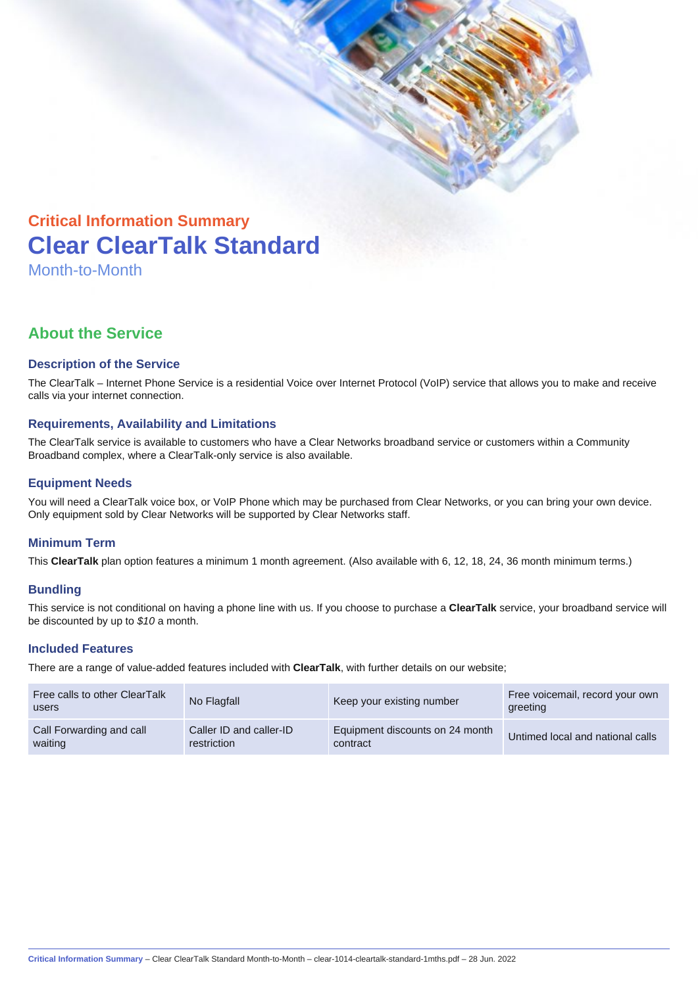

# **Clear ClearTalk Standard**

Month-to-Month

## **About the Service**

#### **Description of the Service**

The ClearTalk – Internet Phone Service is a residential Voice over Internet Protocol (VoIP) service that allows you to make and receive calls via your internet connection.

#### **Requirements, Availability and Limitations**

The ClearTalk service is available to customers who have a Clear Networks broadband service or customers within a Community Broadband complex, where a ClearTalk-only service is also available.

#### **Equipment Needs**

You will need a ClearTalk voice box, or VoIP Phone which may be purchased from Clear Networks, or you can bring your own device. Only equipment sold by Clear Networks will be supported by Clear Networks staff.

#### **Minimum Term**

This **ClearTalk** plan option features a minimum 1 month agreement. (Also available with 6, 12, 18, 24, 36 month minimum terms.)

#### **Bundling**

This service is not conditional on having a phone line with us. If you choose to purchase a **ClearTalk** service, your broadband service will be discounted by up to  $$10$  a month.

#### **Included Features**

There are a range of value-added features included with **ClearTalk**, with further details on our website;

| Free calls to other ClearTalk<br>users | No Flagfall             | Keep your existing number       | Free voicemail, record your own<br>greeting |
|----------------------------------------|-------------------------|---------------------------------|---------------------------------------------|
| Call Forwarding and call               | Caller ID and caller-ID | Equipment discounts on 24 month | Untimed local and national calls            |
| waiting                                | restriction             | contract                        |                                             |